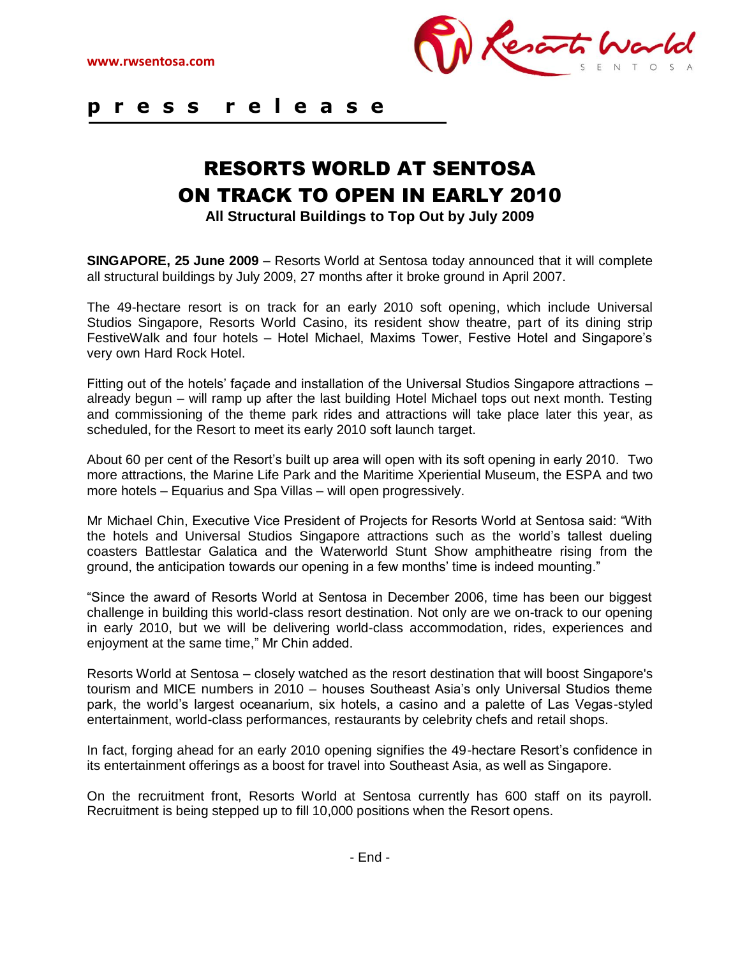

## **p r e s s r e l e a s e**  $\overline{a}$

## RESORTS WORLD AT SENTOSA ON TRACK TO OPEN IN EARLY 2010

**All Structural Buildings to Top Out by July 2009**

**SINGAPORE, 25 June 2009** – Resorts World at Sentosa today announced that it will complete all structural buildings by July 2009, 27 months after it broke ground in April 2007.

The 49-hectare resort is on track for an early 2010 soft opening, which include Universal Studios Singapore, Resorts World Casino, its resident show theatre, part of its dining strip FestiveWalk and four hotels – Hotel Michael, Maxims Tower, Festive Hotel and Singapore's very own Hard Rock Hotel.

Fitting out of the hotels' façade and installation of the Universal Studios Singapore attractions – already begun – will ramp up after the last building Hotel Michael tops out next month. Testing and commissioning of the theme park rides and attractions will take place later this year, as scheduled, for the Resort to meet its early 2010 soft launch target.

About 60 per cent of the Resort's built up area will open with its soft opening in early 2010. Two more attractions, the Marine Life Park and the Maritime Xperiential Museum, the ESPA and two more hotels – Equarius and Spa Villas – will open progressively.

Mr Michael Chin, Executive Vice President of Projects for Resorts World at Sentosa said: "With the hotels and Universal Studios Singapore attractions such as the world's tallest dueling coasters Battlestar Galatica and the Waterworld Stunt Show amphitheatre rising from the ground, the anticipation towards our opening in a few months' time is indeed mounting."

"Since the award of Resorts World at Sentosa in December 2006, time has been our biggest challenge in building this world-class resort destination. Not only are we on-track to our opening in early 2010, but we will be delivering world-class accommodation, rides, experiences and enjoyment at the same time," Mr Chin added.

Resorts World at Sentosa – closely watched as the resort destination that will boost Singapore's tourism and MICE numbers in 2010 – houses Southeast Asia's only Universal Studios theme park, the world's largest oceanarium, six hotels, a casino and a palette of Las Vegas-styled entertainment, world-class performances, restaurants by celebrity chefs and retail shops.

In fact, forging ahead for an early 2010 opening signifies the 49-hectare Resort's confidence in its entertainment offerings as a boost for travel into Southeast Asia, as well as Singapore.

On the recruitment front, Resorts World at Sentosa currently has 600 staff on its payroll. Recruitment is being stepped up to fill 10,000 positions when the Resort opens.